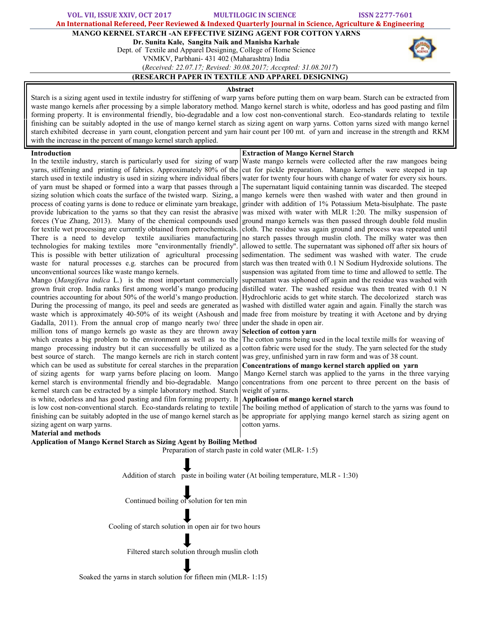VOL. VII, ISSUE XXIV, OCT 2017 MULTILOGIC IN SCIENCE ISSN 2277-7601 An International Refereed, Peer Reviewed & Indexed Quarterly Journal in Science, Agriculture & Engineering MANGO KERNEL STARCH -AN EFFECTIVE SIZING AGENT FOR COTTON YARNS Dr. Sunita Kale, Sangita Naik and Manisha Karhale Dept. of Textile and Apparel Designing, College of Home Science VNMKV, Parbhani- 431 402 (Maharashtra) India (*Received: 22.07.17; Revised: 30.08.2017; Accepted: 31.08.2017*)

# (RESEARCH PAPER IN TEXTILE AND APPAREL DESIGNING)

### Abstract

Starch is a sizing agent used in textile industry for stiffening of warp yarns before putting them on warp beam. Starch can be extracted from waste mango kernels after processing by a simple laboratory method. Mango kernel starch is white, odorless and has good pasting and film forming property. It is environmental friendly, bio-degradable and a low cost non-conventional starch. Eco-standards relating to textile finishing can be suitably adopted in the use of mango kernel starch as sizing agent on warp yarns. Cotton yarns sized with mango kernel starch exhibited decrease in yarn count, elongation percent and yarn hair count per 100 mt. of yarn and increase in the strength and RKM with the increase in the percent of mango kernel starch applied.

## Introduction

Extraction of Mango Kernel Starch Waste mango kernels were collected after the raw mangoes being

In the textile industry, starch is particularly used for sizing of warp yarns, stiffening and printing of fabrics. Approximately 80% of the starch used in textile industry is used in sizing where individual fibers of yarn must be shaped or formed into a warp that passes through a sizing solution which coats the surface of the twisted warp. Sizing, a process of coating yarns is done to reduce or eliminate yarn breakage, provide lubrication to the yarns so that they can resist the abrasive forces (Yue Zhang, 2013). Many of the chemical compounds used for textile wet processing are currently obtained from petrochemicals. There is a need to develop textile auxiliaries manufacturing technologies for making textiles more "environmentally friendly". This is possible with better utilization of agricultural processing waste for natural processes e.g. starches can be procured from unconventional sources like waste mango kernels.

Mango (*Mangifera indica* L.) is the most important commercially grown fruit crop. India ranks first among world's mango producing countries accounting for about 50% of the world's mango production. During the processing of mango, its peel and seeds are generated as waste which is approximately 40-50% of its weight (Ashoush and Gadalla, 2011). From the annual crop of mango nearly two/ three million tons of mango kernels go waste as they are thrown away which creates a big problem to the environment as well as to the mango processing industry but it can successfully be utilized as a best source of starch. The mango kernels are rich in starch content which can be used as substitute for cereal starches in the preparation of sizing agents for warp yarns before placing on loom. Mango kernel starch is environmental friendly and bio-degradable. Mango kernel starch can be extracted by a simple laboratory method. Starch is white, odorless and has good pasting and film forming property. It is low cost non-conventional starch. Eco-standards relating to textile finishing can be suitably adopted in the use of mango kernel starch as sizing agent on warp yarns.

cut for pickle preparation. Mango kernels were steeped in tap water for twenty four hours with change of water for every six hours. The supernatant liquid containing tannin was discarded. The steeped mango kernels were then washed with water and then ground in grinder with addition of 1% Potassium Meta-bisulphate. The paste was mixed with water with MLR 1:20. The milky suspension of ground mango kernels was then passed through double fold muslin cloth. The residue was again ground and process was repeated until no starch passes through muslin cloth. The milky water was then allowed to settle. The supernatant was siphoned off after six hours of sedimentation. The sediment was washed with water. The crude starch was then treated with 0.1 N Sodium Hydroxide solutions. The suspension was agitated from time to time and allowed to settle. The supernatant was siphoned off again and the residue was washed with distilled water. The washed residue was then treated with 0.1 N Hydrochloric acids to get white starch. The decolorized starch was washed with distilled water again and again. Finally the starch was made free from moisture by treating it with Acetone and by drying under the shade in open air.

## Selection of cotton yarn

The cotton yarns being used in the local textile mills for weaving of cotton fabric were used for the study. The yarn selected for the study was grey, unfinished yarn in raw form and was of 38 count.

## Concentrations of mango kernel starch applied on yarn

Mango Kernel starch was applied to the yarns in the three varying concentrations from one percent to three percent on the basis of weight of yarns.

## Application of mango kernel starch

The boiling method of application of starch to the yarns was found to be appropriate for applying mango kernel starch as sizing agent on cotton yarns.

#### Material and methods

Application of Mango Kernel Starch as Sizing Agent by Boiling Method

Preparation of starch paste in cold water (MLR- 1:5)

Addition of starch paste in boiling water (At boiling temperature, MLR - 1:30)

Continued boiling of solution for ten min

Cooling of starch solution in open air for two hours

Filtered starch solution through muslin cloth

Soaked the yarns in starch solution for fifteen min (MLR- 1:15)